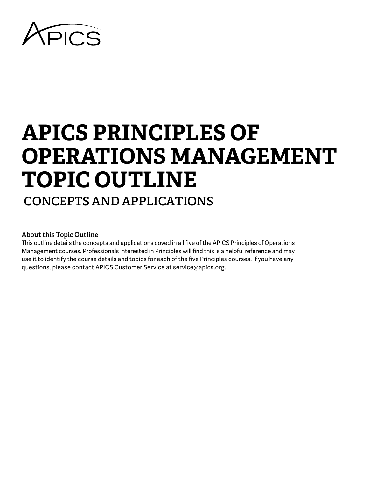

# **APICS PRINCIPLES OF OPERATIONS MANAGEMENT TOPIC OUTLINE CONCEPTS AND APPLICATIONS**

# **About this Topic Outline**

This outline details the concepts and applications coved in all five of the APICS Principles of Operations Management courses. Professionals interested in Principles will find this is a helpful reference and may use it to identify the course details and topics for each of the five Principles courses. If you have any questions, please contact APICS Customer Service at service@apics.org.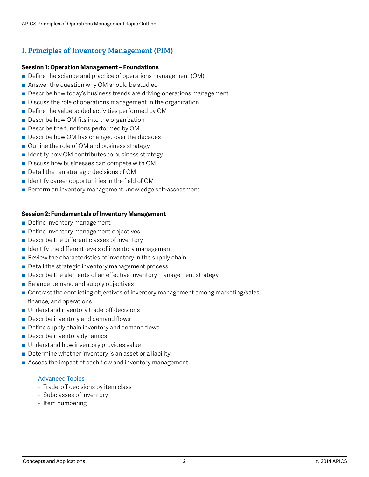# **I. Principles of Inventory Management (PIM)**

# **Session 1: Operation Management – Foundations**

- Define the science and practice of operations management (OM)
- Answer the question why OM should be studied
- Describe how today's business trends are driving operations management
- Discuss the role of operations management in the organization
- Define the value-added activities performed by OM
- Describe how OM fits into the organization
- Describe the functions performed by OM
- Describe how OM has changed over the decades
- Outline the role of OM and business strategy
- Identify how OM contributes to business strategy
- Discuss how businesses can compete with OM
- Detail the ten strategic decisions of OM
- $\blacksquare$  Identify career opportunities in the field of OM
- Perform an inventory management knowledge self-assessment

# **Session 2: Fundamentals of Inventory Management**

- Define inventory management
- Define inventory management objectives
- Describe the different classes of inventory
- $\blacksquare$  Identify the different levels of inventory management
- $\blacksquare$  Review the characteristics of inventory in the supply chain
- Detail the strategic inventory management process
- Describe the elements of an effective inventory management strategy
- Balance demand and supply objectives
- Contrast the conflicting objectives of inventory management among marketing/sales, finance, and operations
- Understand inventory trade-off decisions
- Describe inventory and demand flows
- Define supply chain inventory and demand flows
- Describe inventory dynamics
- Understand how inventory provides value
- Determine whether inventory is an asset or a liability
- Assess the impact of cash flow and inventory management

- Trade-off decisions by item class
- Subclasses of inventory
- Item numbering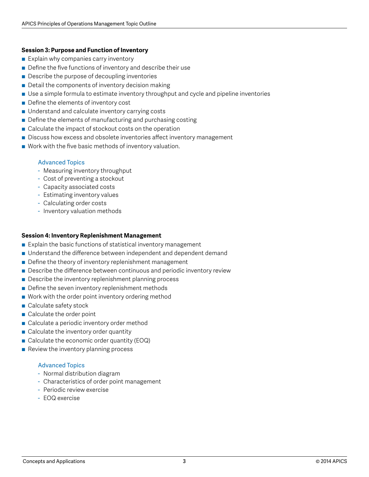# **Session 3: Purpose and Function of Inventory**

- Explain why companies carry inventory
- $\blacksquare$  Define the five functions of inventory and describe their use
- Describe the purpose of decoupling inventories
- $\blacksquare$  Detail the components of inventory decision making
- Use a simple formula to estimate inventory throughput and cycle and pipeline inventories
- Define the elements of inventory cost
- Understand and calculate inventory carrying costs
- $\blacksquare$  Define the elements of manufacturing and purchasing costing
- Calculate the impact of stockout costs on the operation
- Discuss how excess and obsolete inventories affect inventory management
- Work with the five basic methods of inventory valuation.

# Advanced Topics

- Measuring inventory throughput
- Cost of preventing a stockout
- Capacity associated costs
- Estimating inventory values
- Calculating order costs
- Inventory valuation methods

# **Session 4: Inventory Replenishment Management**

- Explain the basic functions of statistical inventory management
- Understand the difference between independent and dependent demand
- $\blacksquare$  Define the theory of inventory replenishment management
- Describe the difference between continuous and periodic inventory review
- $\blacksquare$  Describe the inventory replenishment planning process
- $\blacksquare$  Define the seven inventory replenishment methods
- Work with the order point inventory ordering method
- $\blacksquare$  Calculate safety stock
- $\blacksquare$  Calculate the order point
- Calculate a periodic inventory order method
- $\blacksquare$  Calculate the inventory order quantity
- Calculate the economic order quantity (EOQ)
- Review the inventory planning process

- Normal distribution diagram
- Characteristics of order point management
- Periodic review exercise
- EOQ exercise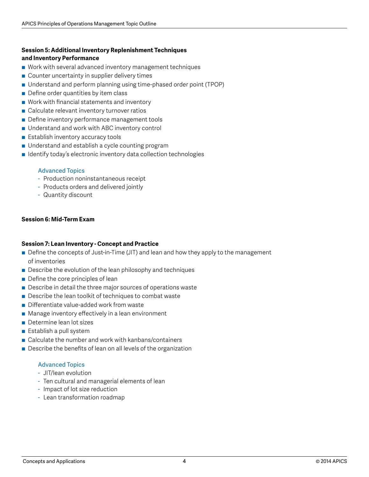# **Session 5: Additional Inventory Replenishment Techniques and Inventory Performance**

- Work with several advanced inventory management techniques
- Counter uncertainty in supplier delivery times
- Understand and perform planning using time-phased order point (TPOP)
- Define order quantities by item class
- $\blacksquare$  Work with financial statements and inventory
- Calculate relevant inventory turnover ratios
- Define inventory performance management tools
- Understand and work with ABC inventory control
- Establish inventory accuracy tools
- Understand and establish a cycle counting program
- Identify today's electronic inventory data collection technologies

# Advanced Topics

- Production noninstantaneous receipt
- Products orders and delivered jointly
- Quantity discount

# **Session 6: Mid-Term Exam**

# **Session 7: Lean Inventory - Concept and Practice**

- Define the concepts of Just-in-Time (JIT) and lean and how they apply to the management of inventories
- Describe the evolution of the lean philosophy and techniques
- $\blacksquare$  Define the core principles of lean
- Describe in detail the three major sources of operations waste
- $\blacksquare$  Describe the lean toolkit of techniques to combat waste
- Differentiate value-added work from waste
- Manage inventory effectively in a lean environment
- Determine lean lot sizes
- Establish a pull system
- $\blacksquare$  Calculate the number and work with kanbans/containers
- $\blacksquare$  Describe the benefits of lean on all levels of the organization

- JIT/lean evolution
- Ten cultural and managerial elements of lean
- Impact of lot size reduction
- Lean transformation roadmap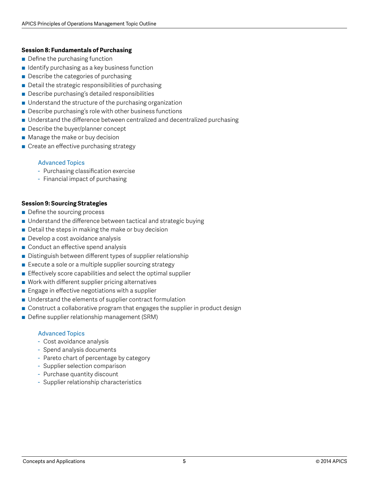# **Session 8: Fundamentals of Purchasing**

- Define the purchasing function
- $\blacksquare$  Identify purchasing as a key business function
- Describe the categories of purchasing
- Detail the strategic responsibilities of purchasing
- Describe purchasing's detailed responsibilities
- Understand the structure of the purchasing organization
- Describe purchasing's role with other business functions
- Understand the difference between centralized and decentralized purchasing
- Describe the buyer/planner concept
- Manage the make or buy decision
- Create an effective purchasing strategy

# Advanced Topics

- Purchasing classification exercise
- Financial impact of purchasing

# **Session 9: Sourcing Strategies**

- Define the sourcing process
- Understand the difference between tactical and strategic buying
- $\blacksquare$  Detail the steps in making the make or buy decision
- Develop a cost avoidance analysis
- Conduct an effective spend analysis
- Distinguish between different types of supplier relationship
- $\blacksquare$  Execute a sole or a multiple supplier sourcing strategy
- $\blacksquare$  Effectively score capabilities and select the optimal supplier
- $\blacksquare$  Work with different supplier pricing alternatives
- $\blacksquare$  Engage in effective negotiations with a supplier
- Understand the elements of supplier contract formulation
- Construct a collaborative program that engages the supplier in product design
- Define supplier relationship management (SRM)

- Cost avoidance analysis
- Spend analysis documents
- Pareto chart of percentage by category
- Supplier selection comparison
- Purchase quantity discount
- Supplier relationship characteristics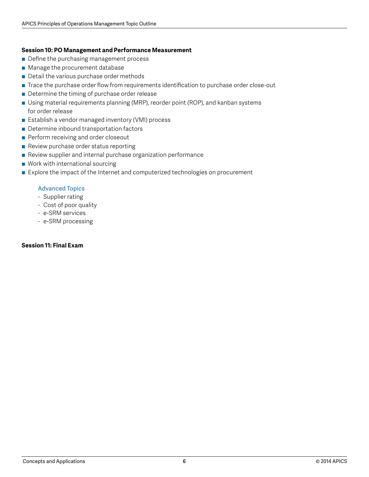# **Session 10: PO Management and Performance Measurement**

- Define the purchasing management process
- Manage the procurement database
- Detail the various purchase order methods
- Trace the purchase order flow from requirements identification to purchase order close-out
- Determine the timing of purchase order release
- Using material requirements planning (MRP), reorder point (ROP), and kanban systems for order release
- Establish a vendor managed inventory (VMI) process
- Determine inbound transportation factors
- **Perform receiving and order closeout**
- Review purchase order status reporting
- Review supplier and internal purchase organization performance
- $\blacksquare$  Work with international sourcing
- Explore the impact of the Internet and computerized technologies on procurement

# Advanced Topics

- Supplier rating
- Cost of poor quality
- e-SRM services
- e-SRM processing

# **Session 11: Final Exam**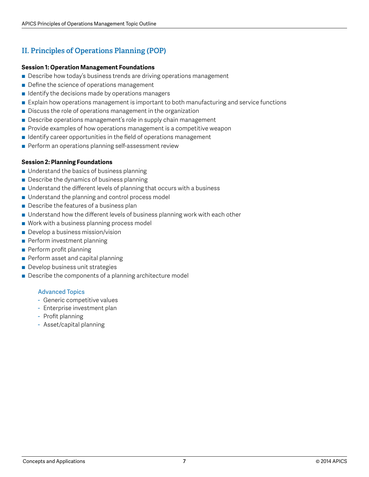# **II. Principles of Operations Planning (POP)**

# **Session 1: Operation Management Foundations**

- Describe how today's business trends are driving operations management
- Define the science of operations management
- $\blacksquare$  Identify the decisions made by operations managers
- Explain how operations management is important to both manufacturing and service functions
- $\blacksquare$  Discuss the role of operations management in the organization
- Describe operations management's role in supply chain management
- $\blacksquare$  Provide examples of how operations management is a competitive weapon
- $\blacksquare$  Identify career opportunities in the field of operations management
- Perform an operations planning self-assessment review

# **Session 2: Planning Foundations**

- $\blacksquare$  Understand the basics of business planning
- $\blacksquare$  Describe the dynamics of business planning
- Understand the different levels of planning that occurs with a business
- Understand the planning and control process model
- $\blacksquare$  Describe the features of a business plan
- Understand how the different levels of business planning work with each other
- $\blacksquare$  Work with a business planning process model
- Develop a business mission/vision
- Perform investment planning
- **Perform profit planning**
- Perform asset and capital planning
- Develop business unit strategies
- Describe the components of a planning architecture model

- Generic competitive values
- Enterprise investment plan
- Profit planning
- Asset/capital planning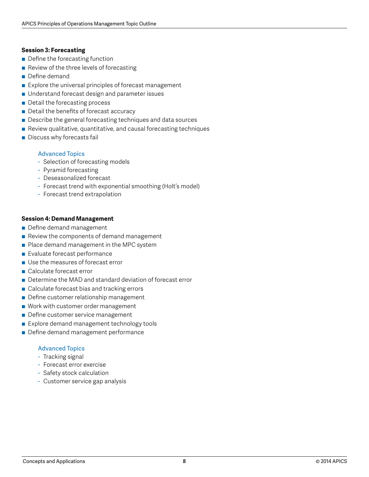# **Session 3: Forecasting**

- Define the forecasting function
- $\blacksquare$  Review of the three levels of forecasting
- **■** Define demand
- Explore the universal principles of forecast management
- Understand forecast design and parameter issues
- Detail the forecasting process
- Detail the benefits of forecast accuracy
- Describe the general forecasting techniques and data sources
- Review qualitative, quantitative, and causal forecasting techniques
- Discuss why forecasts fail

# Advanced Topics

- Selection of forecasting models
- Pyramid forecasting
- Deseasonalized forecast
- Forecast trend with exponential smoothing (Holt's model)
- Forecast trend extrapolation

# **Session 4: Demand Management**

- Define demand management
- $\blacksquare$  Review the components of demand management
- Place demand management in the MPC system
- Evaluate forecast performance
- Use the measures of forecast error
- Calculate forecast error
- Determine the MAD and standard deviation of forecast error
- Calculate forecast bias and tracking errors
- Define customer relationship management
- Work with customer order management
- Define customer service management
- Explore demand management technology tools
- Define demand management performance

- Tracking signal
- Forecast error exercise
- Safety stock calculation
- Customer service gap analysis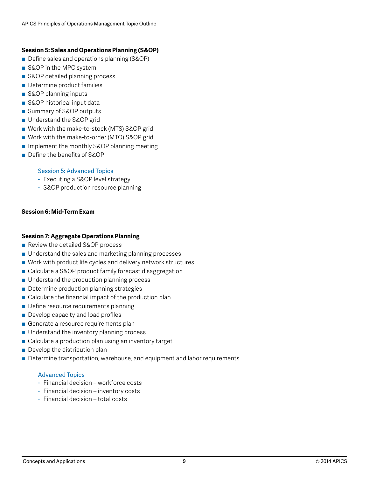# **Session 5: Sales and Operations Planning (S&OP)**

- Define sales and operations planning (S&OP)
- S&OP in the MPC system
- S&OP detailed planning process
- Determine product families
- S&OP planning inputs
- S&OP historical input data
- Summary of S&OP outputs
- Understand the S&OP grid
- Work with the make-to-stock (MTS) S&OP grid
- Work with the make-to-order (MTO) S&OP grid
- Implement the monthly S&OP planning meeting
- Define the benefits of S&OP

# Session 5: Advanced Topics

- Executing a S&OP level strategy
- S&OP production resource planning

# **Session 6: Mid-Term Exam**

# **Session 7: Aggregate Operations Planning**

- Review the detailed S&OP process
- Understand the sales and marketing planning processes
- Work with product life cycles and delivery network structures
- Calculate a S&OP product family forecast disaggregation
- Understand the production planning process
- Determine production planning strategies
- $\blacksquare$  Calculate the financial impact of the production plan
- Define resource requirements planning
- Develop capacity and load profiles
- Generate a resource requirements plan
- $\blacksquare$  Understand the inventory planning process
- Calculate a production plan using an inventory target
- $\blacksquare$  Develop the distribution plan
- Determine transportation, warehouse, and equipment and labor requirements

- Financial decision workforce costs
- Financial decision inventory costs
- Financial decision total costs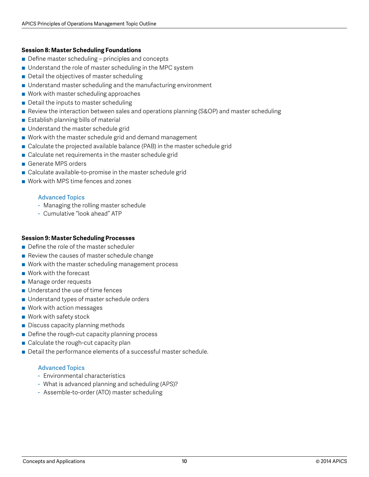# **Session 8: Master Scheduling Foundations**

- Define master scheduling principles and concepts
- Understand the role of master scheduling in the MPC system
- Detail the objectives of master scheduling
- Understand master scheduling and the manufacturing environment
- $\blacksquare$  Work with master scheduling approaches
- Detail the inputs to master scheduling
- Review the interaction between sales and operations planning (S&OP) and master scheduling
- Establish planning bills of material
- Understand the master schedule grid
- $\blacksquare$  Work with the master schedule grid and demand management
- Calculate the projected available balance (PAB) in the master schedule grid
- Calculate net requirements in the master schedule grid
- Generate MPS orders
- Calculate available-to-promise in the master schedule grid
- Work with MPS time fences and zones

# Advanced Topics

- Managing the rolling master schedule
- Cumulative "look ahead" ATP

# **Session 9: Master Scheduling Processes**

- Define the role of the master scheduler
- $\blacksquare$  Review the causes of master schedule change
- Work with the master scheduling management process
- Work with the forecast
- Manage order requests
- $\blacksquare$  Understand the use of time fences
- Understand types of master schedule orders
- Work with action messages
- Work with safety stock
- Discuss capacity planning methods
- $\blacksquare$  Define the rough-cut capacity planning process
- Calculate the rough-cut capacity plan
- Detail the performance elements of a successful master schedule.

- Environmental characteristics
- What is advanced planning and scheduling (APS)?
- Assemble-to-order (ATO) master scheduling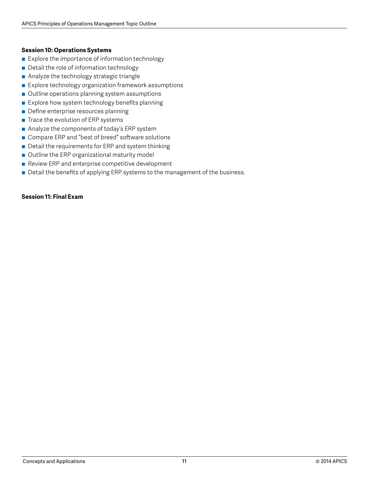# **Session 10: Operations Systems**

- Explore the importance of information technology
- Detail the role of information technology
- Analyze the technology strategic triangle
- Explore technology organization framework assumptions
- Outline operations planning system assumptions
- Explore how system technology benefits planning
- Define enterprise resources planning
- $\blacksquare$  Trace the evolution of ERP systems
- Analyze the components of today's ERP system
- Compare ERP and "best of breed" software solutions
- Detail the requirements for ERP and system thinking
- Outline the ERP organizational maturity model
- Review ERP and enterprise competitive development
- Detail the benefits of applying ERP systems to the management of the business.

# **Session 11: Final Exam**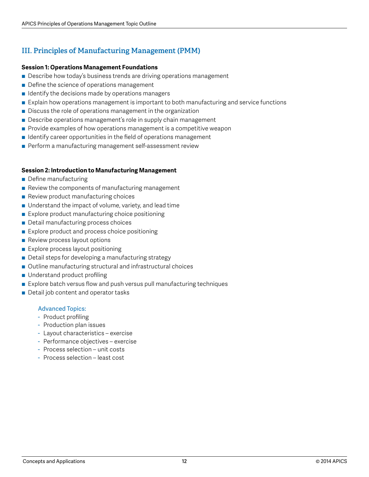# **III. Principles of Manufacturing Management (PMM)**

# **Session 1: Operations Management Foundations**

- Describe how today's business trends are driving operations management
- Define the science of operations management
- $\blacksquare$  Identify the decisions made by operations managers
- Explain how operations management is important to both manufacturing and service functions
- $\blacksquare$  Discuss the role of operations management in the organization
- Describe operations management's role in supply chain management
- $\blacksquare$  Provide examples of how operations management is a competitive weapon
- $\blacksquare$  Identify career opportunities in the field of operations management
- Perform a manufacturing management self-assessment review

# **Session 2: Introduction to Manufacturing Management**

- Define manufacturing
- $\blacksquare$  Review the components of manufacturing management
- Review product manufacturing choices
- $\blacksquare$  Understand the impact of volume, variety, and lead time
- $\blacksquare$  Explore product manufacturing choice positioning
- Detail manufacturing process choices
- Explore product and process choice positioning
- Review process layout options
- Explore process layout positioning
- Detail steps for developing a manufacturing strategy
- Outline manufacturing structural and infrastructural choices
- Understand product profiling
- Explore batch versus flow and push versus pull manufacturing techniques
- Detail job content and operator tasks

- Product profiling
- Production plan issues
- Layout characteristics exercise
- Performance objectives exercise
- Process selection unit costs
- Process selection least cost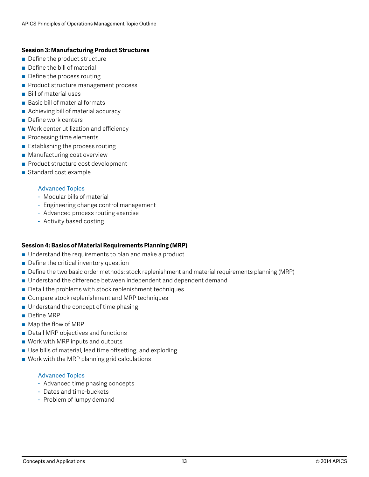# **Session 3: Manufacturing Product Structures**

- Define the product structure
- Define the bill of material
- Define the process routing
- Product structure management process
- Bill of material uses
- Basic bill of material formats
- Achieving bill of material accuracy
- Define work centers
- Work center utilization and efficiency
- Processing time elements
- $\blacksquare$  Establishing the process routing
- Manufacturing cost overview
- Product structure cost development
- Standard cost example

# Advanced Topics

- Modular bills of material
- Engineering change control management
- Advanced process routing exercise
- Activity based costing

# **Session 4: Basics of Material Requirements Planning (MRP)**

- Understand the requirements to plan and make a product
- $\blacksquare$  Define the critical inventory question
- Define the two basic order methods: stock replenishment and material requirements planning (MRP)
- Understand the difference between independent and dependent demand
- $\blacksquare$  Detail the problems with stock replenishment techniques
- Compare stock replenishment and MRP techniques
- Understand the concept of time phasing
- Define MRP
- $\blacksquare$  Map the flow of MRP
- Detail MRP objectives and functions
- Work with MRP inputs and outputs
- Use bills of material, lead time offsetting, and exploding
- Work with the MRP planning grid calculations

- Advanced time phasing concepts
- Dates and time-buckets
- Problem of lumpy demand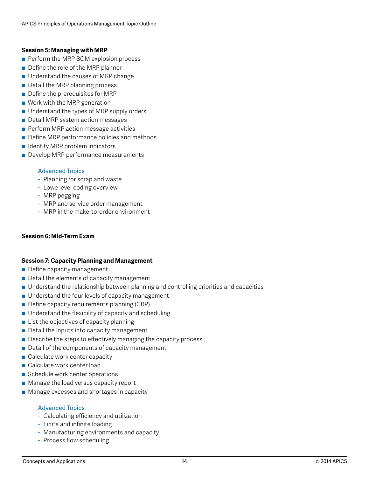# **Session 5: Managing with MRP**

- Perform the MRP BOM explosion process
- Define the role of the MRP planner
- Understand the causes of MRP change
- Detail the MRP planning process
- $\blacksquare$  Define the prerequisites for MRP
- Work with the MRP generation
- Understand the types of MRP supply orders
- Detail MRP system action messages
- Perform MRP action message activities
- Define MRP performance policies and methods
- Identify MRP problem indicators
- **Develop MRP performance measurements**

# Advanced Topics

- Planning for scrap and waste
- Lowe level coding overview
- MRP pegging
- MRP and service order management
- MRP in the make-to-order environment

# **Session 6: Mid-Term Exam**

# **Session 7: Capacity Planning and Management**

- Define capacity management
- $\blacksquare$  Detail the elements of capacity management
- Understand the relationship between planning and controlling priorities and capacities
- $\blacksquare$  Understand the four levels of capacity management
- Define capacity requirements planning (CRP)
- $\blacksquare$  Understand the flexibility of capacity and scheduling
- $\blacksquare$  List the objectives of capacity planning
- $\blacksquare$  Detail the inputs into capacity management
- Describe the steps to effectively managing the capacity process
- Detail of the components of capacity management
- Calculate work center capacity
- Calculate work center load
- Schedule work center operations
- Manage the load versus capacity report
- Manage excesses and shortages in capacity

- Calculating efficiency and utilization
- Finite and infinite loading
- Manufacturing environments and capacity
- Process flow scheduling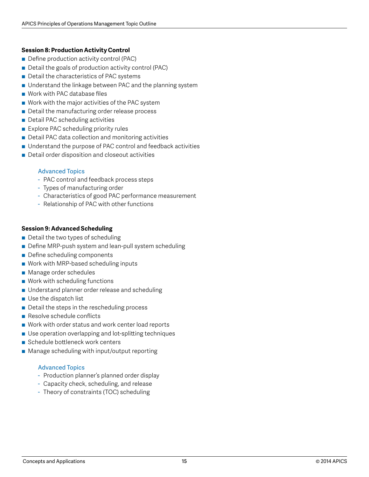# **Session 8: Production Activity Control**

- Define production activity control (PAC)
- Detail the goals of production activity control (PAC)
- Detail the characteristics of PAC systems
- Understand the linkage between PAC and the planning system
- Work with PAC database files
- Work with the major activities of the PAC system
- Detail the manufacturing order release process
- Detail PAC scheduling activities
- Explore PAC scheduling priority rules
- Detail PAC data collection and monitoring activities
- Understand the purpose of PAC control and feedback activities
- Detail order disposition and closeout activities

# Advanced Topics

- PAC control and feedback process steps
- Types of manufacturing order
- Characteristics of good PAC performance measurement
- Relationship of PAC with other functions

# **Session 9: Advanced Scheduling**

- $\blacksquare$  Detail the two types of scheduling
- Define MRP-push system and lean-pull system scheduling
- Define scheduling components
- Work with MRP-based scheduling inputs
- Manage order schedules
- Work with scheduling functions
- Understand planner order release and scheduling
- Use the dispatch list
- Detail the steps in the rescheduling process
- $\blacksquare$  Resolve schedule conflicts
- Work with order status and work center load reports
- Use operation overlapping and lot-splitting techniques
- Schedule bottleneck work centers
- Manage scheduling with input/output reporting

- Production planner's planned order display
- Capacity check, scheduling, and release
- Theory of constraints (TOC) scheduling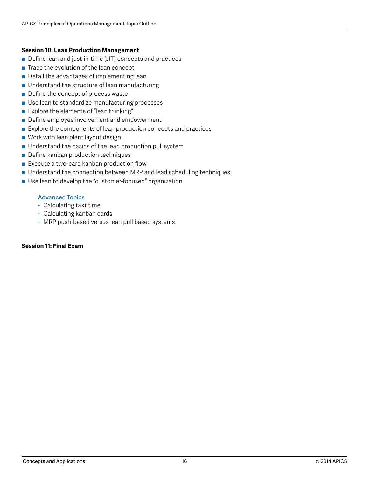# **Session 10: Lean Production Management**

- Define lean and just-in-time (JIT) concepts and practices
- $\blacksquare$  Trace the evolution of the lean concept
- Detail the advantages of implementing lean
- Understand the structure of lean manufacturing
- Define the concept of process waste
- Use lean to standardize manufacturing processes
- Explore the elements of "lean thinking"
- Define employee involvement and empowerment
- Explore the components of lean production concepts and practices
- Work with lean plant layout design
- Understand the basics of the lean production pull system
- Define kanban production techniques
- $\blacksquare$  Execute a two-card kanban production flow
- Understand the connection between MRP and lead scheduling techniques
- Use lean to develop the "customer-focused" organization.

# Advanced Topics

- Calculating takt time
- Calculating kanban cards
- MRP push-based versus lean pull based systems

# **Session 11: Final Exam**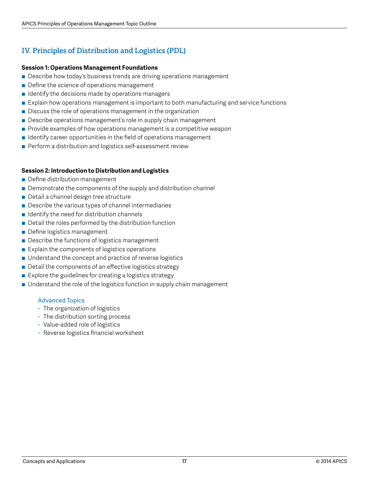# **IV. Principles of Distribution and Logistics (PDL)**

# **Session 1: Operations Management Foundations**

- Describe how today's business trends are driving operations management
- Define the science of operations management
- $\blacksquare$  Identify the decisions made by operations managers
- Explain how operations management is important to both manufacturing and service functions
- Discuss the role of operations management in the organization
- Describe operations management's role in supply chain management
- Provide examples of how operations management is a competitive weapon
- $\blacksquare$  Identify career opportunities in the field of operations management
- Perform a distribution and logistics self-assessment review

# **Session 2: Introduction to Distribution and Logistics**

- Define distribution management
- $\blacksquare$  Demonstrate the components of the supply and distribution channel
- Detail a channel design tree structure
- Describe the various types of channel intermediaries
- $\blacksquare$  Identify the need for distribution channels
- $\blacksquare$  Detail the roles performed by the distribution function
- Define logistics management
- Describe the functions of logistics management
- $\blacksquare$  Explain the components of logistics operations
- Understand the concept and practice of reverse logistics
- $\blacksquare$  Detail the components of an effective logistics strategy
- $\blacksquare$  Explore the guidelines for creating a logistics strategy
- Understand the role of the logistics function in supply chain management

- The organization of logistics
- The distribution sorting process
- Value-added role of logistics
- Reverse logistics financial worksheet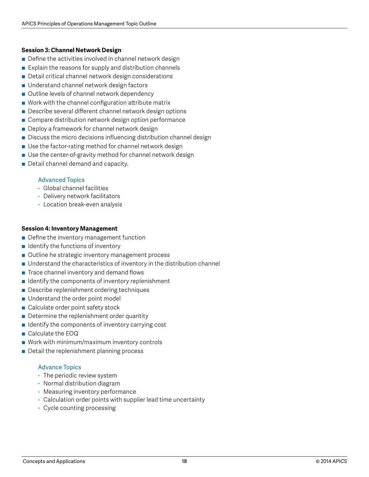# **Session 3: Channel Network Design**

- $\blacksquare$  Define the activities involved in channel network design
- $\blacksquare$  Explain the reasons for supply and distribution channels
- Detail critical channel network design considerations
- Understand channel network design factors
- Outline levels of channel network dependency
- Work with the channel configuration attribute matrix
- Describe several different channel network design options
- Compare distribution network design option performance
- Deploy a framework for channel network design
- Discuss the micro decisions influencing distribution channel design
- Use the factor-rating method for channel network design
- Use the center-of-gravity method for channel network design
- Detail channel demand and capacity.

# Advanced Topics

- Global channel facilities
- Delivery network facilitators
- Location break-even analysis

# **Session 4: Inventory Management**

- Define the inventory management function
- $\blacksquare$  Identify the functions of inventory
- Outline he strategic inventory management process
- $\blacksquare$  Understand the characteristics of inventory in the distribution channel
- $\blacksquare$  Trace channel inventory and demand flows
- $\blacksquare$  Identify the components of inventory replenishment
- Describe replenishment ordering techniques
- Understand the order point model
- Calculate order point safety stock
- $\blacksquare$  Determine the replenishment order quantity
- Identify the components of inventory carrying cost
- Calculate the EOQ
- $\blacksquare$  Work with minimum/maximum inventory controls
- Detail the replenishment planning process

- The periodic review system
- Normal distribution diagram
- Measuring inventory performance
- Calculation order points with supplier lead time uncertainty
- Cycle counting processing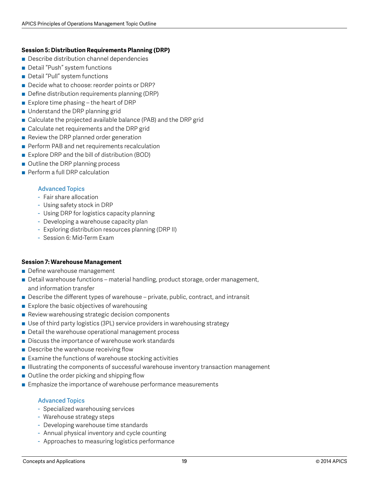# **Session 5: Distribution Requirements Planning (DRP)**

- Describe distribution channel dependencies
- Detail "Push" system functions
- Detail "Pull" system functions
- Decide what to choose: reorder points or DRP?
- Define distribution requirements planning (DRP)
- Explore time phasing the heart of DRP
- **Inderstand the DRP planning grid**
- Calculate the projected available balance (PAB) and the DRP grid
- Calculate net requirements and the DRP grid
- Review the DRP planned order generation
- Perform PAB and net requirements recalculation
- Explore DRP and the bill of distribution (BOD)
- Outline the DRP planning process
- **Perform a full DRP calculation**

# Advanced Topics

- Fair share allocation
- Using safety stock in DRP
- Using DRP for logistics capacity planning
- Developing a warehouse capacity plan
- Exploring distribution resources planning (DRP II)
- Session 6: Mid-Term Exam

# **Session 7: Warehouse Management**

- Define warehouse management
- Detail warehouse functions material handling, product storage, order management, and information transfer
- Describe the different types of warehouse private, public, contract, and intransit
- $\blacksquare$  Explore the basic objectives of warehousing
- Review warehousing strategic decision components
- Use of third party logistics (3PL) service providers in warehousing strategy
- Detail the warehouse operational management process
- Discuss the importance of warehouse work standards
- $\blacksquare$  Describe the warehouse receiving flow
- $\blacksquare$  Examine the functions of warehouse stocking activities
- **Illustrating the components of successful warehouse inventory transaction management**
- $\blacksquare$  Outline the order picking and shipping flow
- Emphasize the importance of warehouse performance measurements

- Specialized warehousing services
- Warehouse strategy steps
- Developing warehouse time standards
- Annual physical inventory and cycle counting
- Approaches to measuring logistics performance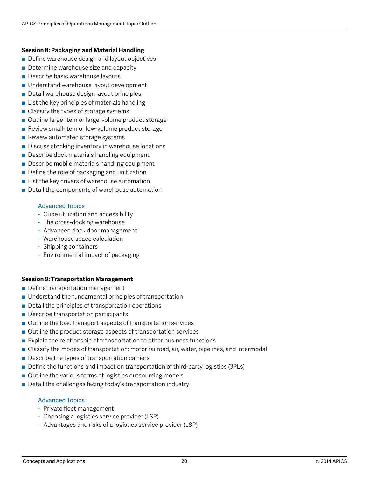# **Session 8: Packaging and Material Handling**

- Define warehouse design and layout objectives
- Determine warehouse size and capacity
- **Describe basic warehouse layouts**
- Understand warehouse layout development
- Detail warehouse design layout principles
- List the key principles of materials handling
- Classify the types of storage systems
- Outline large-item or large-volume product storage
- Review small-item or low-volume product storage
- Review automated storage systems
- Discuss stocking inventory in warehouse locations
- Describe dock materials handling equipment
- Describe mobile materials handling equipment
- Define the role of packaging and unitization
- List the key drivers of warehouse automation
- Detail the components of warehouse automation

# Advanced Topics

- Cube utilization and accessibility
- The cross-docking warehouse
- Advanced dock door management
- Warehouse space calculation
- Shipping containers
- Environmental impact of packaging

# **Session 9: Transportation Management**

- Define transportation management
- Understand the fundamental principles of transportation
- $\blacksquare$  Detail the principles of transportation operations
- Describe transportation participants
- Outline the load transport aspects of transportation services
- Outline the product storage aspects of transportation services
- $\blacksquare$  Explain the relationship of transportation to other business functions
- Classify the modes of transportation: motor railroad, air, water, pipelines, and intermodal
- Describe the types of transportation carriers
- Define the functions and impact on transportation of third-party logistics (3PLs)
- Outline the various forms of logistics outsourcing models
- Detail the challenges facing today's transportation industry

- Private fleet management
- Choosing a logistics service provider (LSP)
- Advantages and risks of a logistics service provider (LSP)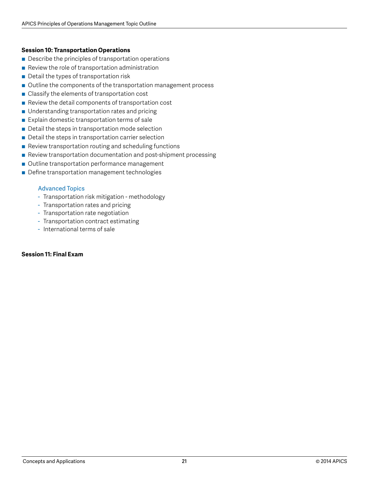# **Session 10: Transportation Operations**

- $\blacksquare$  Describe the principles of transportation operations
- $\blacksquare$  Review the role of transportation administration
- Detail the types of transportation risk
- Outline the components of the transportation management process
- $\blacksquare$  Classify the elements of transportation cost
- Review the detail components of transportation cost
- Understanding transportation rates and pricing
- $\blacksquare$  Explain domestic transportation terms of sale
- $\blacksquare$  Detail the steps in transportation mode selection
- $\blacksquare$  Detail the steps in transportation carrier selection
- $\blacksquare$  Review transportation routing and scheduling functions
- Review transportation documentation and post-shipment processing
- Outline transportation performance management
- Define transportation management technologies

# Advanced Topics

- Transportation risk mitigation methodology
- Transportation rates and pricing
- Transportation rate negotiation
- Transportation contract estimating
- International terms of sale

# **Session 11: Final Exam**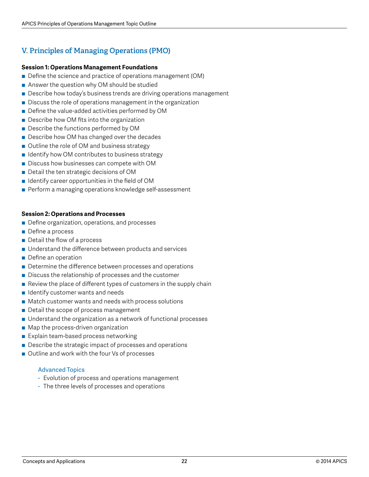# **V. Principles of Managing Operations (PMO)**

# **Session 1: Operations Management Foundations**

- Define the science and practice of operations management (OM)
- $\blacksquare$  Answer the question why OM should be studied
- Describe how today's business trends are driving operations management
- Discuss the role of operations management in the organization
- Define the value-added activities performed by OM
- Describe how OM fits into the organization
- Describe the functions performed by OM
- Describe how OM has changed over the decades
- Outline the role of OM and business strategy
- Identify how OM contributes to business strategy
- Discuss how businesses can compete with OM
- Detail the ten strategic decisions of OM
- $\blacksquare$  Identify career opportunities in the field of OM
- Perform a managing operations knowledge self-assessment

# **Session 2: Operations and Processes**

- Define organization, operations, and processes
- Define a process
- $\blacksquare$  Detail the flow of a process
- Understand the difference between products and services
- Define an operation
- Determine the difference between processes and operations
- Discuss the relationship of processes and the customer
- $\blacksquare$  Review the place of different types of customers in the supply chain
- $\blacksquare$  Identify customer wants and needs
- Match customer wants and needs with process solutions
- $\blacksquare$  Detail the scope of process management
- Understand the organization as a network of functional processes
- Map the process-driven organization
- Explain team-based process networking
- Describe the strategic impact of processes and operations
- Outline and work with the four Vs of processes

- Evolution of process and operations management
- The three levels of processes and operations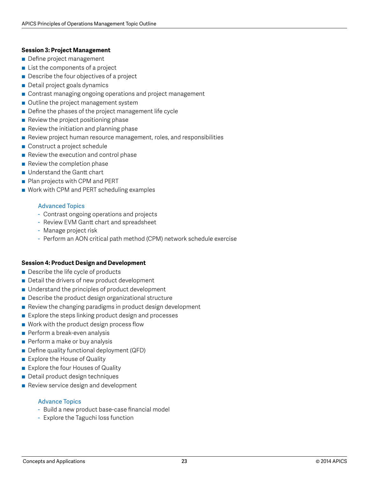# **Session 3: Project Management**

- **Define project management**
- $\blacksquare$  List the components of a project
- $\blacksquare$  Describe the four objectives of a project
- Detail project goals dynamics
- Contrast managing ongoing operations and project management
- Outline the project management system
- Define the phases of the project management life cycle
- $\blacksquare$  Review the project positioning phase
- Review the initiation and planning phase
- Review project human resource management, roles, and responsibilities
- Construct a project schedule
- $\blacksquare$  Review the execution and control phase
- $\blacksquare$  Review the completion phase
- **u** Understand the Gantt chart
- Plan projects with CPM and PERT
- Work with CPM and PERT scheduling examples

# Advanced Topics

- Contrast ongoing operations and projects
- Review EVM Gantt chart and spreadsheet
- Manage project risk
- Perform an AON critical path method (CPM) network schedule exercise

# **Session 4: Product Design and Development**

- $\blacksquare$  Describe the life cycle of products
- Detail the drivers of new product development
- $\blacksquare$  Understand the principles of product development
- $\blacksquare$  Describe the product design organizational structure
- $\blacksquare$  Review the changing paradigms in product design development
- $\blacksquare$  Explore the steps linking product design and processes
- Work with the product design process flow
- Perform a break-even analysis
- $\blacksquare$  Perform a make or buy analysis
- Define quality functional deployment (QFD)
- Explore the House of Quality
- Explore the four Houses of Quality
- Detail product design techniques
- Review service design and development

- Build a new product base-case financial model
- Explore the Taguchi loss function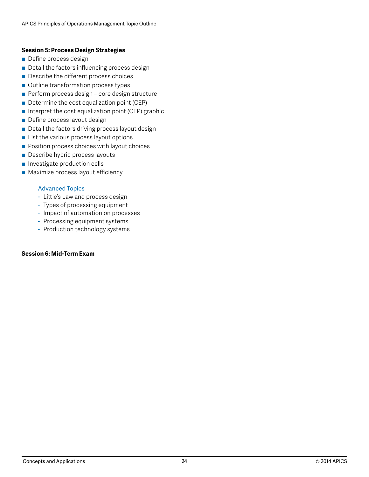# **Session 5: Process Design Strategies**

- Define process design
- Detail the factors influencing process design
- Describe the different process choices
- Outline transformation process types
- Perform process design core design structure
- Determine the cost equalization point (CEP)
- $\blacksquare$  Interpret the cost equalization point (CEP) graphic
- Define process layout design
- Detail the factors driving process layout design
- List the various process layout options
- Position process choices with layout choices
- Describe hybrid process layouts
- **n** Investigate production cells
- Maximize process layout efficiency

# Advanced Topics

- Little's Law and process design
- Types of processing equipment
- Impact of automation on processes
- Processing equipment systems
- Production technology systems

# **Session 6: Mid-Term Exam**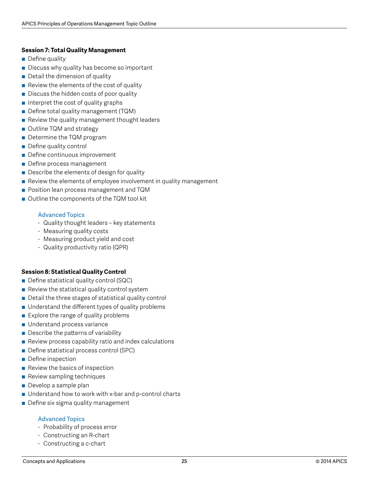# **Session 7: Total Quality Management**

- $\blacksquare$  Define quality
- Discuss why quality has become so important
- Detail the dimension of quality
- $\blacksquare$  Review the elements of the cost of quality
- Discuss the hidden costs of poor quality
- Interpret the cost of quality graphs
- Define total quality management (TQM)
- $\blacksquare$  Review the quality management thought leaders
- Outline TQM and strategy
- Determine the TQM program
- Define quality control
- Define continuous improvement
- Define process management
- $\blacksquare$  Describe the elements of design for quality
- $\blacksquare$  Review the elements of employee involvement in quality management
- Position lean process management and TQM
- Outline the components of the TQM tool kit

# Advanced Topics

- Quality thought leaders key statements
- Measuring quality costs
- Measuring product yield and cost
- Quality productivity ratio (QPR)

# **Session 8: Statistical Quality Control**

- Define statistical quality control (SQC)
- $\blacksquare$  Review the statistical quality control system
- Detail the three stages of statistical quality control
- $\blacksquare$  Understand the different types of quality problems
- $\blacksquare$  Explore the range of quality problems
- Understand process variance
- Describe the patterns of variability
- $\blacksquare$  Review process capability ratio and index calculations
- Define statistical process control (SPC)
- Define inspection
- Review the basics of inspection
- Review sampling techniques
- $\blacksquare$  Develop a sample plan
- Understand how to work with x-bar and p-control charts
- Define six sigma quality management

- Probability of process error
- Constructing an R-chart
- Constructing a c-chart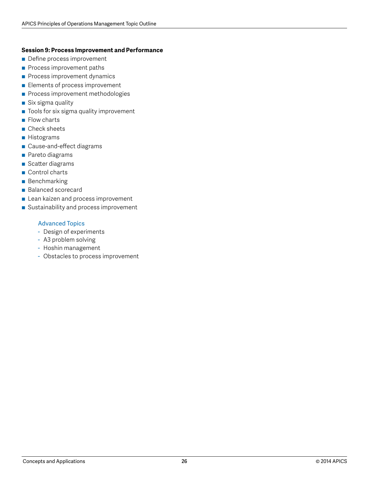#### **Session 9: Process Improvement and Performance**

- Define process improvement
- **Process improvement paths**
- **Process improvement dynamics**
- Elements of process improvement
- **Process improvement methodologies**
- Six sigma quality
- Tools for six sigma quality improvement
- Flow charts
- Check sheets
- **■** Histograms
- Cause-and-effect diagrams
- Pareto diagrams
- Scatter diagrams
- Control charts
- Benchmarking
- Balanced scorecard
- Lean kaizen and process improvement
- Sustainability and process improvement

- Design of experiments
- A3 problem solving
- Hoshin management
- Obstacles to process improvement